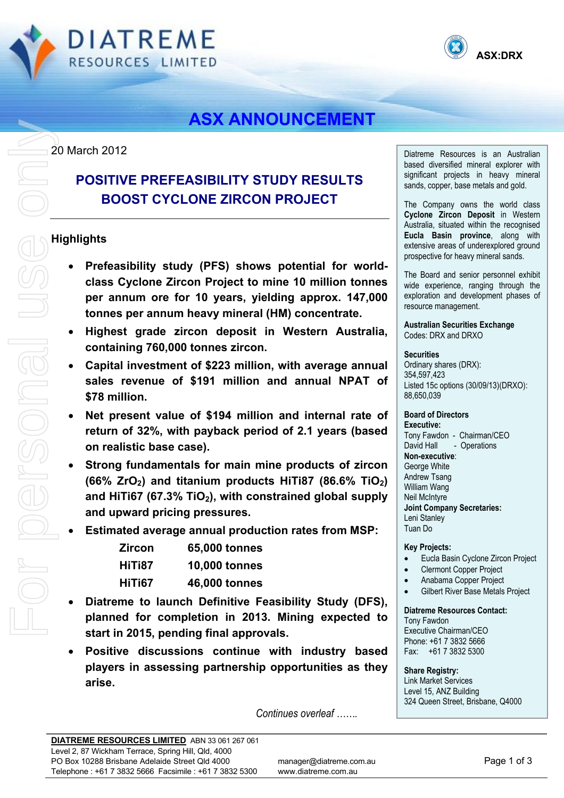



# **ASX ANNOUNCEMENT**

20 March 2012

## **POSITIVE PREFEASIBILITY STUDY RESULTS BOOST CYCLONE ZIRCON PROJECT**

### **Highlights**

- **Prefeasibility study (PFS) shows potential for worldclass Cyclone Zircon Project to mine 10 million tonnes per annum ore for 10 years, yielding approx. 147,000 tonnes per annum heavy mineral (HM) concentrate.**
- **Highest grade zircon deposit in Western Australia, containing 760,000 tonnes zircon.**
- **Capital investment of \$223 million, with average annual sales revenue of \$191 million and annual NPAT of \$78 million.**
- **Net present value of \$194 million and internal rate of return of 32%, with payback period of 2.1 years (based on realistic base case).**
- **Strong fundamentals for main mine products of zircon (66% ZrO2) and titanium products HiTi87 (86.6% TiO2)**  and HiTi67 (67.3% TiO<sub>2</sub>), with constrained global supply **and upward pricing pressures.**
- **Estimated average annual production rates from MSP:**

| Zircon | 65,000 tonnes        |
|--------|----------------------|
| HiTi87 | <b>10,000 tonnes</b> |
| HiTi67 | 46,000 tonnes        |

- **Diatreme to launch Definitive Feasibility Study (DFS), planned for completion in 2013. Mining expected to start in 2015, pending final approvals.**
- **Positive discussions continue with industry based players in assessing partnership opportunities as they arise.**

Diatreme Resources is an Australian based diversified mineral explorer with significant projects in heavy mineral sands, copper, base metals and gold.

The Company owns the world class **Cyclone Zircon Deposit** in Western Australia, situated within the recognised **Eucla Basin province**, along with extensive areas of underexplored ground prospective for heavy mineral sands.

The Board and senior personnel exhibit wide experience, ranging through the exploration and development phases of resource management.

**Australian Securities Exchange**  Codes: DRX and DRXO

#### **Securities**

Ordinary shares (DRX): 354,597,423 Listed 15c options (30/09/13)(DRXO): 88,650,039

#### **Board of Directors**

**Executive:**  Tony Fawdon - Chairman/CEO David Hall - Operations **Non-executive**: George White Andrew Tsang William Wang Neil McIntyre **Joint Company Secretaries:**  Leni Stanley Tuan Do

#### **Key Projects:**

- Eucla Basin Cyclone Zircon Project
- Clermont Copper Project
- Anabama Copper Project
- Gilbert River Base Metals Project

**Diatreme Resources Contact:** 

Tony Fawdon Executive Chairman/CEO Phone: +61 7 3832 5666 Fax: +61 7 3832 5300

**Share Registry:**  Link Market Services Level 15, ANZ Building 324 Queen Street, Brisbane, Q4000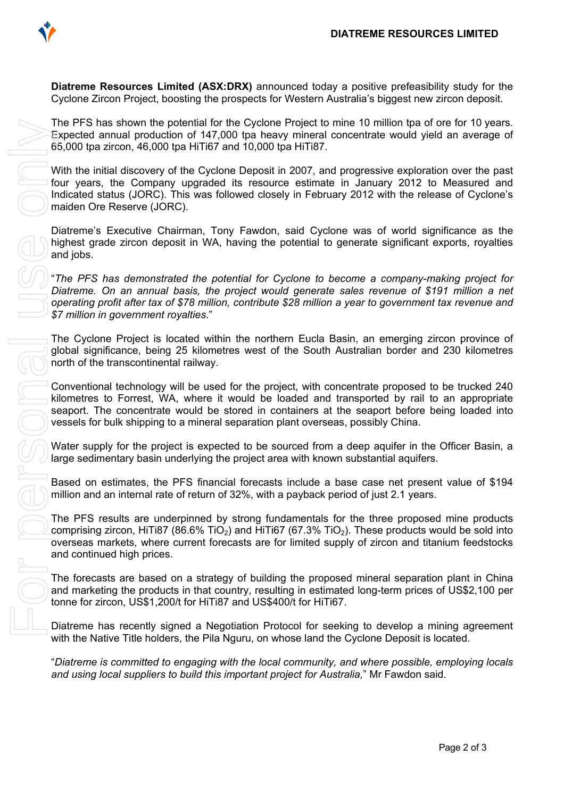

**Diatreme Resources Limited (ASX:DRX)** announced today a positive prefeasibility study for the Cyclone Zircon Project, boosting the prospects for Western Australia's biggest new zircon deposit.

The PFS has shown the potential for the Cyclone Project to mine 10 million tpa of ore for 10 years. Expected annual production of 147,000 tpa heavy mineral concentrate would yield an average of 65,000 tpa zircon, 46,000 tpa HiTi67 and 10,000 tpa HiTi87.

With the initial discovery of the Cyclone Deposit in 2007, and progressive exploration over the past four years, the Company upgraded its resource estimate in January 2012 to Measured and Indicated status (JORC). This was followed closely in February 2012 with the release of Cyclone's maiden Ore Reserve (JORC).

Diatreme's Executive Chairman, Tony Fawdon, said Cyclone was of world significance as the highest grade zircon deposit in WA, having the potential to generate significant exports, royalties and jobs.

"*The PFS has demonstrated the potential for Cyclone to become a company-making project for Diatreme. On an annual basis, the project would generate sales revenue of \$191 million a net operating profit after tax of \$78 million, contribute \$28 million a year to government tax revenue and \$7 million in government royalties*."

The Cyclone Project is located within the northern Eucla Basin, an emerging zircon province of global significance, being 25 kilometres west of the South Australian border and 230 kilometres north of the transcontinental railway.

Conventional technology will be used for the project, with concentrate proposed to be trucked 240 kilometres to Forrest, WA, where it would be loaded and transported by rail to an appropriate seaport. The concentrate would be stored in containers at the seaport before being loaded into vessels for bulk shipping to a mineral separation plant overseas, possibly China.

Water supply for the project is expected to be sourced from a deep aquifer in the Officer Basin, a large sedimentary basin underlying the project area with known substantial aquifers.

Based on estimates, the PFS financial forecasts include a base case net present value of \$194 million and an internal rate of return of 32%, with a payback period of just 2.1 years.

The PFS results are underpinned by strong fundamentals for the three proposed mine products comprising zircon, HiTi87 (86.6% TiO<sub>2</sub>) and HiTi67 (67.3% TiO<sub>2</sub>). These products would be sold into overseas markets, where current forecasts are for limited supply of zircon and titanium feedstocks and continued high prices.

The forecasts are based on a strategy of building the proposed mineral separation plant in China and marketing the products in that country, resulting in estimated long-term prices of US\$2,100 per tonne for zircon, US\$1,200/t for HiTi87 and US\$400/t for HiTi67.

Diatreme has recently signed a Negotiation Protocol for seeking to develop a mining agreement with the Native Title holders, the Pila Nguru, on whose land the Cyclone Deposit is located.

"*Diatreme is committed to engaging with the local community, and where possible, employing locals*